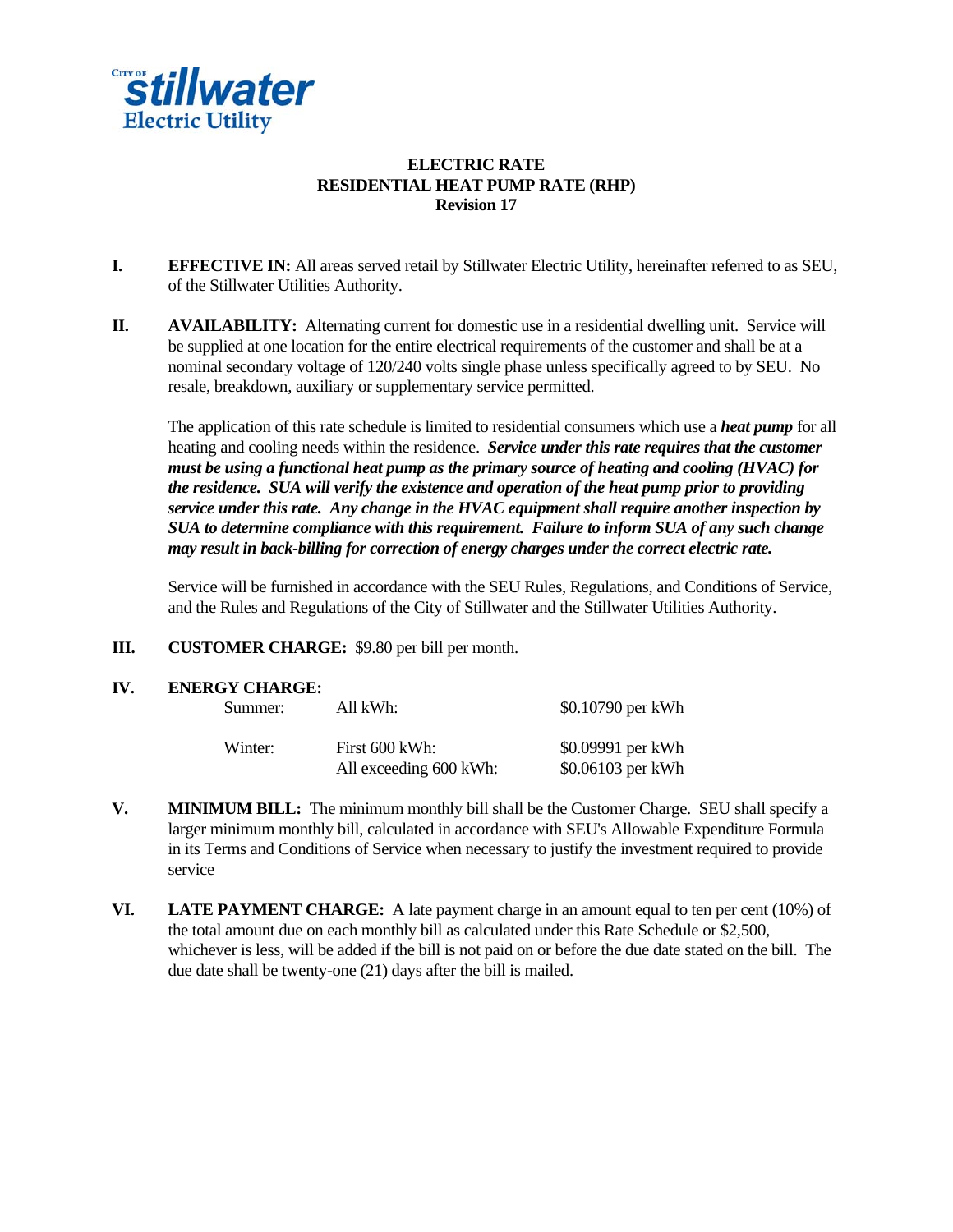

# **ELECTRIC RATE RESIDENTIAL HEAT PUMP RATE (RHP) Revision 17**

- **I. EFFECTIVE IN:** All areas served retail by Stillwater Electric Utility, hereinafter referred to as SEU, of the Stillwater Utilities Authority.
- **II. AVAILABILITY:** Alternating current for domestic use in a residential dwelling unit. Service will be supplied at one location for the entire electrical requirements of the customer and shall be at a nominal secondary voltage of 120/240 volts single phase unless specifically agreed to by SEU. No resale, breakdown, auxiliary or supplementary service permitted.

 The application of this rate schedule is limited to residential consumers which use a *heat pump* for all heating and cooling needs within the residence. *Service under this rate requires that the customer must be using a functional heat pump as the primary source of heating and cooling (HVAC) for the residence. SUA will verify the existence and operation of the heat pump prior to providing service under this rate. Any change in the HVAC equipment shall require another inspection by SUA to determine compliance with this requirement. Failure to inform SUA of any such change may result in back-billing for correction of energy charges under the correct electric rate.* 

Service will be furnished in accordance with the SEU Rules, Regulations, and Conditions of Service, and the Rules and Regulations of the City of Stillwater and the Stillwater Utilities Authority.

- **III. CUSTOMER CHARGE:** \$9.80 per bill per month.
- **IV. ENERGY CHARGE:**

| Summer: | All kWh:       |                        | \$0.10790 per kWh                      |
|---------|----------------|------------------------|----------------------------------------|
| Winter: | First 600 kWh: | All exceeding 600 kWh: | \$0.09991 per kWh<br>\$0.06103 per kWh |

- **V.** MINIMUM BILL: The minimum monthly bill shall be the Customer Charge. SEU shall specify a larger minimum monthly bill, calculated in accordance with SEU's Allowable Expenditure Formula in its Terms and Conditions of Service when necessary to justify the investment required to provide service
- **VI. LATE PAYMENT CHARGE:** A late payment charge in an amount equal to ten per cent (10%) of the total amount due on each monthly bill as calculated under this Rate Schedule or \$2,500, whichever is less, will be added if the bill is not paid on or before the due date stated on the bill. The due date shall be twenty-one (21) days after the bill is mailed.